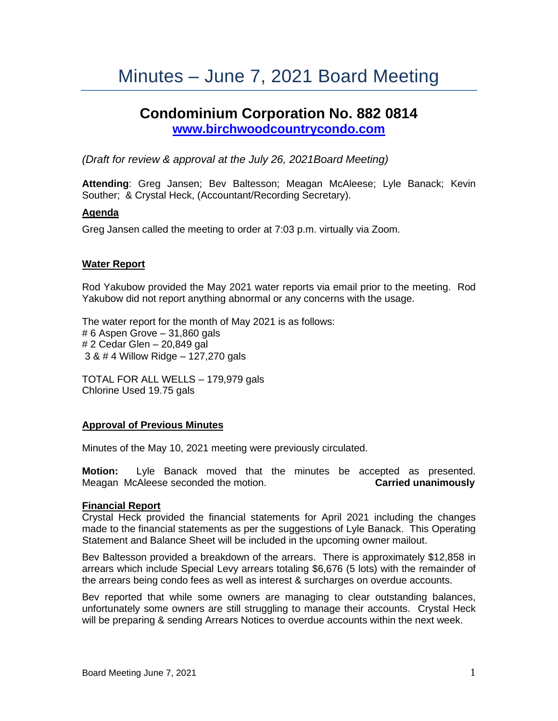# Minutes – June 7, 2021 Board Meeting

# **Condominium Corporation No. 882 0814 [www.birchwoodcountrycondo.com](http://www.birchwoodcountrycondo.com/)**

*(Draft for review & approval at the July 26, 2021Board Meeting)*

**Attending**: Greg Jansen; Bev Baltesson; Meagan McAleese; Lyle Banack; Kevin Souther; & Crystal Heck, (Accountant/Recording Secretary).

# **Agenda**

Greg Jansen called the meeting to order at 7:03 p.m. virtually via Zoom.

### **Water Report**

Rod Yakubow provided the May 2021 water reports via email prior to the meeting. Rod Yakubow did not report anything abnormal or any concerns with the usage.

The water report for the month of May 2021 is as follows: # 6 Aspen Grove – 31,860 gals # 2 Cedar Glen – 20,849 gal 3 & # 4 Willow Ridge – 127,270 gals

TOTAL FOR ALL WELLS – 179,979 gals Chlorine Used 19.75 gals

### **Approval of Previous Minutes**

Minutes of the May 10, 2021 meeting were previously circulated.

**Motion:** Lyle Banack moved that the minutes be accepted as presented. Meagan McAleese seconded the motion. **Carried unanimously**

### **Financial Report**

Crystal Heck provided the financial statements for April 2021 including the changes made to the financial statements as per the suggestions of Lyle Banack. This Operating Statement and Balance Sheet will be included in the upcoming owner mailout.

Bev Baltesson provided a breakdown of the arrears. There is approximately \$12,858 in arrears which include Special Levy arrears totaling \$6,676 (5 lots) with the remainder of the arrears being condo fees as well as interest & surcharges on overdue accounts.

Bev reported that while some owners are managing to clear outstanding balances, unfortunately some owners are still struggling to manage their accounts. Crystal Heck will be preparing & sending Arrears Notices to overdue accounts within the next week.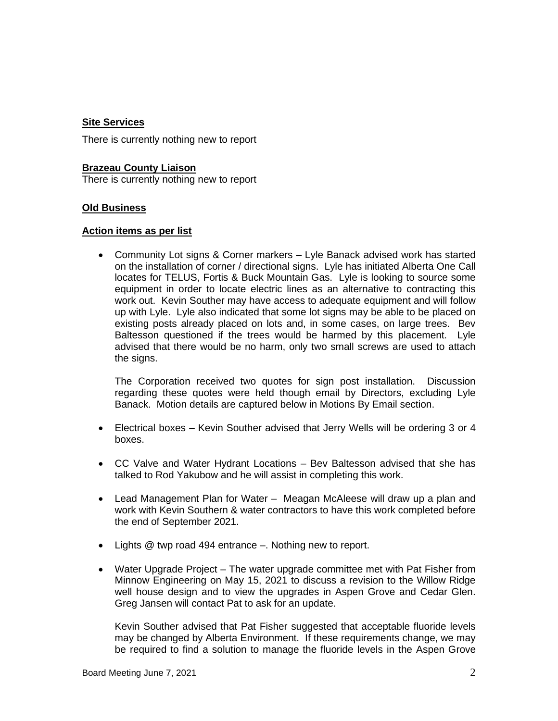## **Site Services**

There is currently nothing new to report

**Brazeau County Liaison** There is currently nothing new to report

# **Old Business**

### **Action items as per list**

• Community Lot signs & Corner markers – Lyle Banack advised work has started on the installation of corner / directional signs. Lyle has initiated Alberta One Call locates for TELUS, Fortis & Buck Mountain Gas. Lyle is looking to source some equipment in order to locate electric lines as an alternative to contracting this work out. Kevin Souther may have access to adequate equipment and will follow up with Lyle. Lyle also indicated that some lot signs may be able to be placed on existing posts already placed on lots and, in some cases, on large trees. Bev Baltesson questioned if the trees would be harmed by this placement. Lyle advised that there would be no harm, only two small screws are used to attach the signs.

The Corporation received two quotes for sign post installation. Discussion regarding these quotes were held though email by Directors, excluding Lyle Banack. Motion details are captured below in Motions By Email section.

- Electrical boxes Kevin Souther advised that Jerry Wells will be ordering 3 or 4 boxes.
- CC Valve and Water Hydrant Locations Bev Baltesson advised that she has talked to Rod Yakubow and he will assist in completing this work.
- Lead Management Plan for Water Meagan McAleese will draw up a plan and work with Kevin Southern & water contractors to have this work completed before the end of September 2021.
- Lights @ twp road 494 entrance –. Nothing new to report.
- Water Upgrade Project The water upgrade committee met with Pat Fisher from Minnow Engineering on May 15, 2021 to discuss a revision to the Willow Ridge well house design and to view the upgrades in Aspen Grove and Cedar Glen. Greg Jansen will contact Pat to ask for an update.

Kevin Souther advised that Pat Fisher suggested that acceptable fluoride levels may be changed by Alberta Environment. If these requirements change, we may be required to find a solution to manage the fluoride levels in the Aspen Grove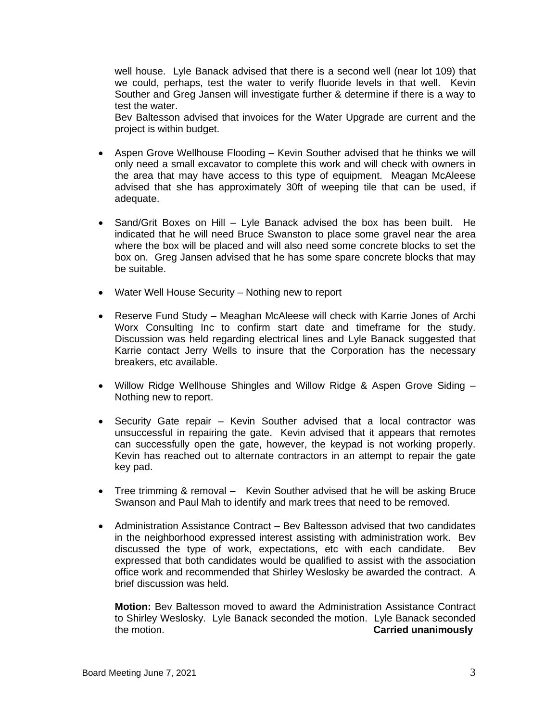well house. Lyle Banack advised that there is a second well (near lot 109) that we could, perhaps, test the water to verify fluoride levels in that well. Kevin Souther and Greg Jansen will investigate further & determine if there is a way to test the water.

Bev Baltesson advised that invoices for the Water Upgrade are current and the project is within budget.

- Aspen Grove Wellhouse Flooding Kevin Souther advised that he thinks we will only need a small excavator to complete this work and will check with owners in the area that may have access to this type of equipment. Meagan McAleese advised that she has approximately 30ft of weeping tile that can be used, if adequate.
- Sand/Grit Boxes on Hill Lyle Banack advised the box has been built. He indicated that he will need Bruce Swanston to place some gravel near the area where the box will be placed and will also need some concrete blocks to set the box on. Greg Jansen advised that he has some spare concrete blocks that may be suitable.
- Water Well House Security Nothing new to report
- Reserve Fund Study Meaghan McAleese will check with Karrie Jones of Archi Worx Consulting Inc to confirm start date and timeframe for the study. Discussion was held regarding electrical lines and Lyle Banack suggested that Karrie contact Jerry Wells to insure that the Corporation has the necessary breakers, etc available.
- Willow Ridge Wellhouse Shingles and Willow Ridge & Aspen Grove Siding Nothing new to report.
- Security Gate repair Kevin Souther advised that a local contractor was unsuccessful in repairing the gate. Kevin advised that it appears that remotes can successfully open the gate, however, the keypad is not working properly. Kevin has reached out to alternate contractors in an attempt to repair the gate key pad.
- Tree trimming & removal Kevin Souther advised that he will be asking Bruce Swanson and Paul Mah to identify and mark trees that need to be removed.
- Administration Assistance Contract Bev Baltesson advised that two candidates in the neighborhood expressed interest assisting with administration work. Bev discussed the type of work, expectations, etc with each candidate. Bev expressed that both candidates would be qualified to assist with the association office work and recommended that Shirley Weslosky be awarded the contract. A brief discussion was held.

**Motion:** Bev Baltesson moved to award the Administration Assistance Contract to Shirley Weslosky. Lyle Banack seconded the motion. Lyle Banack seconded the motion. **Carried unanimously**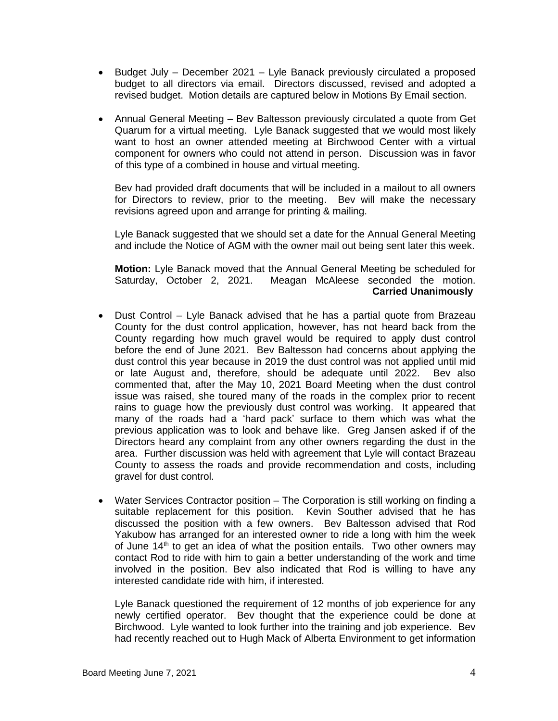- Budget July December 2021 Lyle Banack previously circulated a proposed budget to all directors via email. Directors discussed, revised and adopted a revised budget. Motion details are captured below in Motions By Email section.
- Annual General Meeting Bev Baltesson previously circulated a quote from Get Quarum for a virtual meeting. Lyle Banack suggested that we would most likely want to host an owner attended meeting at Birchwood Center with a virtual component for owners who could not attend in person. Discussion was in favor of this type of a combined in house and virtual meeting.

Bev had provided draft documents that will be included in a mailout to all owners for Directors to review, prior to the meeting. Bev will make the necessary revisions agreed upon and arrange for printing & mailing.

Lyle Banack suggested that we should set a date for the Annual General Meeting and include the Notice of AGM with the owner mail out being sent later this week.

**Motion:** Lyle Banack moved that the Annual General Meeting be scheduled for Saturday, October 2, 2021. Meagan McAleese seconded the motion.  **Carried Unanimously**

- Dust Control Lyle Banack advised that he has a partial quote from Brazeau County for the dust control application, however, has not heard back from the County regarding how much gravel would be required to apply dust control before the end of June 2021. Bev Baltesson had concerns about applying the dust control this year because in 2019 the dust control was not applied until mid or late August and, therefore, should be adequate until 2022. Bev also commented that, after the May 10, 2021 Board Meeting when the dust control issue was raised, she toured many of the roads in the complex prior to recent rains to guage how the previously dust control was working. It appeared that many of the roads had a 'hard pack' surface to them which was what the previous application was to look and behave like. Greg Jansen asked if of the Directors heard any complaint from any other owners regarding the dust in the area. Further discussion was held with agreement that Lyle will contact Brazeau County to assess the roads and provide recommendation and costs, including gravel for dust control.
- Water Services Contractor position The Corporation is still working on finding a suitable replacement for this position. Kevin Souther advised that he has discussed the position with a few owners. Bev Baltesson advised that Rod Yakubow has arranged for an interested owner to ride a long with him the week of June  $14<sup>th</sup>$  to get an idea of what the position entails. Two other owners may contact Rod to ride with him to gain a better understanding of the work and time involved in the position. Bev also indicated that Rod is willing to have any interested candidate ride with him, if interested.

Lyle Banack questioned the requirement of 12 months of job experience for any newly certified operator. Bev thought that the experience could be done at Birchwood. Lyle wanted to look further into the training and job experience. Bev had recently reached out to Hugh Mack of Alberta Environment to get information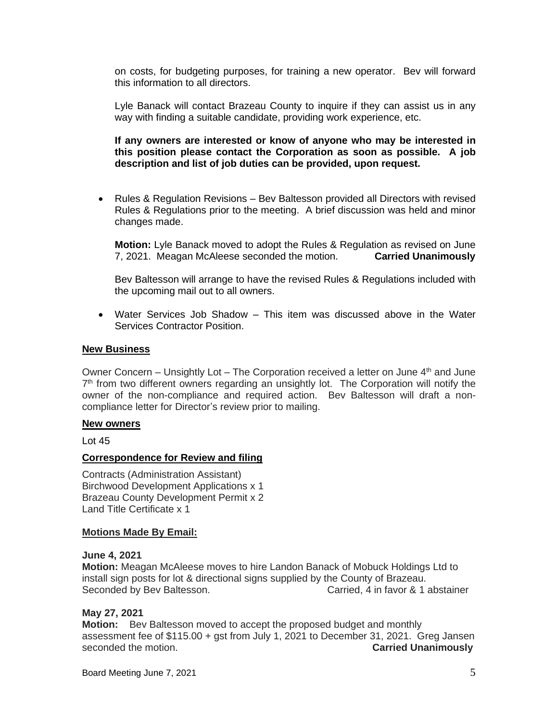on costs, for budgeting purposes, for training a new operator. Bev will forward this information to all directors.

Lyle Banack will contact Brazeau County to inquire if they can assist us in any way with finding a suitable candidate, providing work experience, etc.

**If any owners are interested or know of anyone who may be interested in this position please contact the Corporation as soon as possible. A job description and list of job duties can be provided, upon request.**

• Rules & Regulation Revisions – Bev Baltesson provided all Directors with revised Rules & Regulations prior to the meeting. A brief discussion was held and minor changes made.

**Motion:** Lyle Banack moved to adopt the Rules & Regulation as revised on June 7, 2021. Meagan McAleese seconded the motion. **Carried Unanimously**

Bev Baltesson will arrange to have the revised Rules & Regulations included with the upcoming mail out to all owners.

• Water Services Job Shadow – This item was discussed above in the Water Services Contractor Position.

#### **New Business**

Owner Concern – Unsightly Lot – The Corporation received a letter on June  $4<sup>th</sup>$  and June 7<sup>th</sup> from two different owners regarding an unsightly lot. The Corporation will notify the owner of the non-compliance and required action. Bev Baltesson will draft a noncompliance letter for Director's review prior to mailing.

#### **New owners**

Lot 45

#### **Correspondence for Review and filing**

Contracts (Administration Assistant) Birchwood Development Applications x 1 Brazeau County Development Permit x 2 Land Title Certificate x 1

#### **Motions Made By Email:**

#### **June 4, 2021**

**Motion:** Meagan McAleese moves to hire Landon Banack of Mobuck Holdings Ltd to install sign posts for lot & directional signs supplied by the County of Brazeau. Seconded by Bev Baltesson. Carried, 4 in favor & 1 abstainer

### **May 27, 2021**

**Motion:** Bev Baltesson moved to accept the proposed budget and monthly assessment fee of \$115.00 + gst from July 1, 2021 to December 31, 2021. Greg Jansen seconded the motion. **Carried Unanimously**